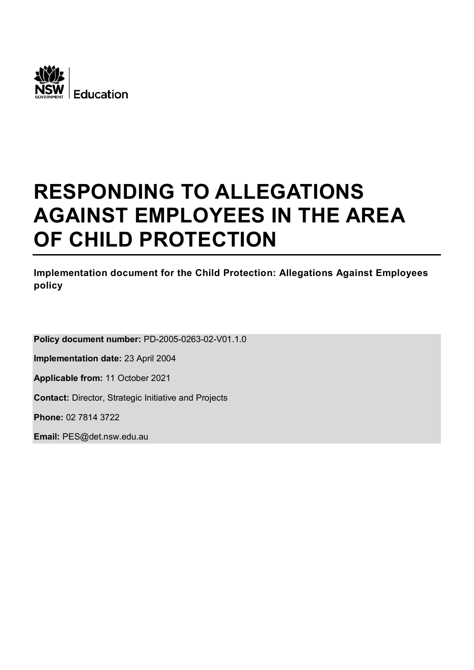

# **RESPONDING TO ALLEGATIONS AGAINST EMPLOYEES IN THE AREA OF CHILD PROTECTION**

# **Implementation document for the Child Protection: Allegations Against Employees policy**

**Policy document number:** PD-2005-0263-02-V01.1.0

**Implementation date:** 23 April 2004

**Applicable from:** 11 October 2021

**Contact:** Director, Strategic Initiative and Projects

**Phone:** 02 7814 3722

**Email:** PES@det.nsw.edu.au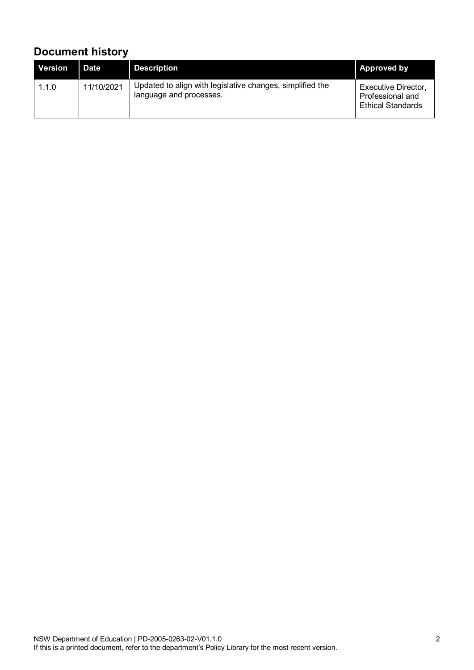# **Document history**

| <b>Version</b> | Date       | <b>Description</b>                                                                   | <b>Approved by</b>                                                         |
|----------------|------------|--------------------------------------------------------------------------------------|----------------------------------------------------------------------------|
| 1.1.0          | 11/10/2021 | Updated to align with legislative changes, simplified the<br>language and processes. | <b>Executive Director,</b><br>Professional and<br><b>Ethical Standards</b> |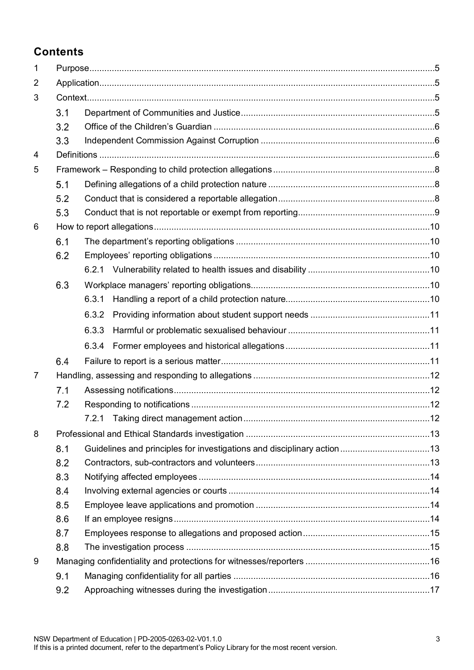# **Contents**

| 1              |     |       |  |  |
|----------------|-----|-------|--|--|
| $\overline{2}$ |     |       |  |  |
| 3              |     |       |  |  |
|                | 3.1 |       |  |  |
|                | 3.2 |       |  |  |
|                | 3.3 |       |  |  |
| 4              |     |       |  |  |
| 5              |     |       |  |  |
|                | 5.1 |       |  |  |
|                | 5.2 |       |  |  |
|                | 5.3 |       |  |  |
| 6              |     |       |  |  |
|                | 6.1 |       |  |  |
|                | 6.2 |       |  |  |
|                |     |       |  |  |
|                | 6.3 |       |  |  |
|                |     | 6.3.1 |  |  |
|                |     | 6.3.2 |  |  |
|                |     | 6.3.3 |  |  |
|                |     | 6.3.4 |  |  |
|                | 6.4 |       |  |  |
| $\overline{7}$ |     |       |  |  |
|                | 7.1 |       |  |  |
|                | 7.2 |       |  |  |
|                |     |       |  |  |
| 8              |     |       |  |  |
|                | 8.1 |       |  |  |
|                | 8.2 |       |  |  |
|                | 8.3 |       |  |  |
|                | 8.4 |       |  |  |
|                | 8.5 |       |  |  |
|                | 8.6 |       |  |  |
|                | 8.7 |       |  |  |
|                | 8.8 |       |  |  |
| 9              |     |       |  |  |
|                | 9.1 |       |  |  |
|                | 9.2 |       |  |  |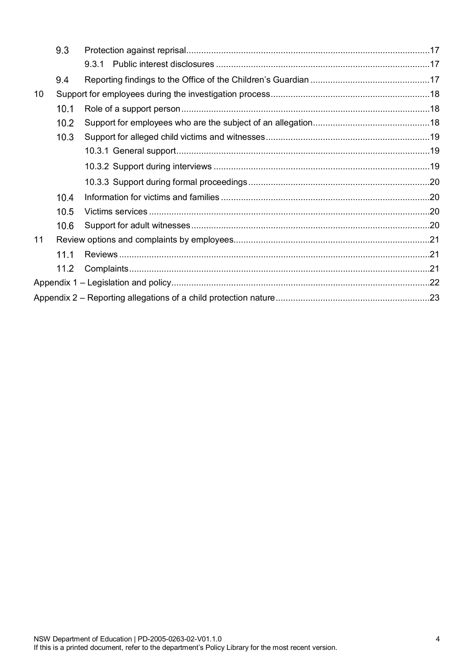| 9.3  |  |
|------|--|
|      |  |
| 9.4  |  |
|      |  |
| 10.1 |  |
| 10.2 |  |
| 10.3 |  |
|      |  |
|      |  |
|      |  |
| 10.4 |  |
| 10.5 |  |
| 10.6 |  |
|      |  |
| 11.1 |  |
| 11.2 |  |
|      |  |
|      |  |
|      |  |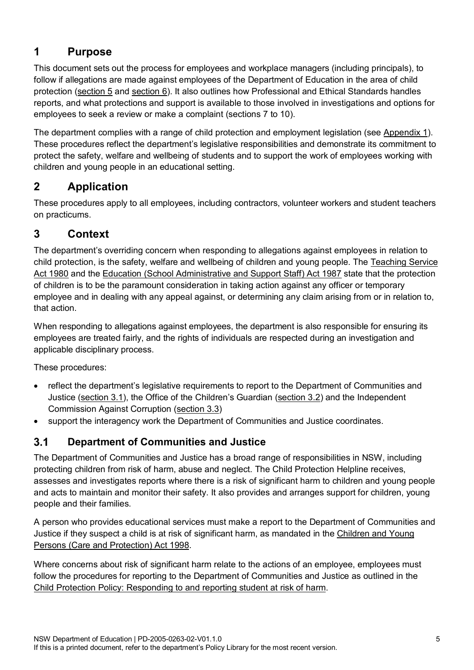# <span id="page-4-0"></span>**1 Purpose**

This document sets out the process for employees and workplace managers (including principals), to follow if allegations are made against employees of the Department of Education in the area of child protection [\(section 5](#page-7-0) and [section 6\)](#page-9-0). It also outlines how Professional and Ethical Standards handles reports, and what protections and support is available to those involved in investigations and options for employees to seek a review or make a complaint (sections 7 to 10).

The department complies with a range of child protection and employment legislation (see [Appendix 1\)](#page-21-0). These procedures reflect the department's legislative responsibilities and demonstrate its commitment to protect the safety, welfare and wellbeing of students and to support the work of employees working with children and young people in an educational setting.

# <span id="page-4-1"></span>**2 Application**

These procedures apply to all employees, including contractors, volunteer workers and student teachers on practicums.

# <span id="page-4-2"></span>**3 Context**

The department's overriding concern when responding to allegations against employees in relation to child protection, is the safety, welfare and wellbeing of children and young people. The [Teaching Service](https://legislation.nsw.gov.au/view/html/inforce/current/act-1980-023)  [Act 1980](https://legislation.nsw.gov.au/view/html/inforce/current/act-1980-023) and the [Education \(School Administrative and Support Staff\) Act 1987](https://legislation.nsw.gov.au/view/html/inforce/current/act-1987-240) state that the protection of children is to be the paramount consideration in taking action against any officer or temporary employee and in dealing with any appeal against, or determining any claim arising from or in relation to, that action.

When responding to allegations against employees, the department is also responsible for ensuring its employees are treated fairly, and the rights of individuals are respected during an investigation and applicable disciplinary process.

These procedures:

- reflect the department's legislative requirements to report to the Department of Communities and Justice [\(section 3.1\)](#page-4-3), the Office of the Children's Guardian [\(section 3.2\)](#page-5-0) and the Independent Commission Against Corruption [\(section 3.3\)](#page-5-1)
- support the [interagency work the](http://www.facs.nsw.gov.au/community/kts) Department of Communities and Justice coordinates.

#### <span id="page-4-3"></span> $3.1$ **Department of Communities and Justice**

The Department of Communities and Justice has a broad range of responsibilities in NSW, including protecting children from risk of harm, abuse and neglect. The Child Protection Helpline receives, assesses and investigates reports where there is a risk of significant harm to children and young people and acts to maintain and monitor their safety. It also provides and arranges support for children, young people and their families.

A person who provides educational services must make a report to the Department of Communities and Justice if they suspect a child is at risk of significant harm, as mandated in the [Children and Young](https://legislation.nsw.gov.au/view/html/inforce/current/act-1998-157)  [Persons \(Care and Protection\) Act 1998.](https://legislation.nsw.gov.au/view/html/inforce/current/act-1998-157)

Where concerns about risk of significant harm relate to the actions of an employee, employees must follow the procedures for reporting to the Department of Communities and Justice as outlined in the [Child Protection Policy: Responding to and reporting student at risk of harm.](https://policies.education.nsw.gov.au/policy-library/policies/child-protection-policy-responding-to-and-reporting-students-at-risk-of-harm?refid=285776)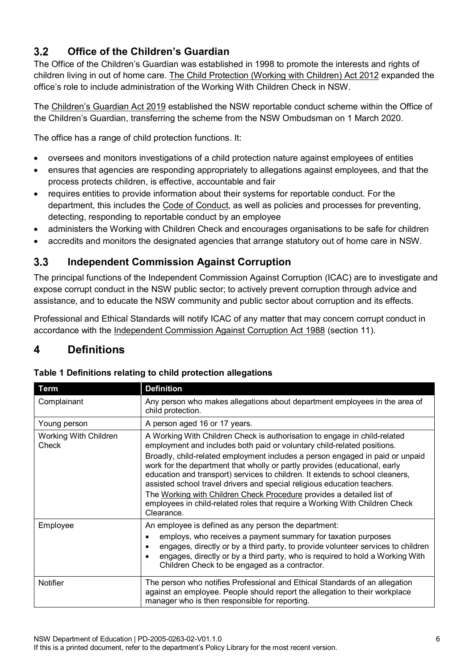#### <span id="page-5-0"></span> $3.2$ **Office of the Children's Guardian**

The [Office of the Children's Gu](http://www.kidsguardian.nsw.gov.au/)ardian was established in 1998 to promote the interests and rights of children living in out of home care. The [Child Protection \(Working with Children\) Act 2012](https://legislation.nsw.gov.au/view/html/inforce/current/act-2012-051) expanded the office's role to include administration of the Working With Children Check in NSW.

The [Children's Guardian Act 2019](https://legislation.nsw.gov.au/view/html/inforce/current/act-2019-025) established the NSW reportable conduct scheme within the Office of the Children's Guardian, transferring the scheme from the NSW Ombudsman on 1 March 2020.

The office has a range of child protection functions. It:

- oversees and monitors investigations of a child protection nature against employees of entities
- ensures that agencies are responding appropriately to allegations against employees, and that the process protects children, is effective, accountable and fair
- requires entities to provide information about their systems for reportable conduct. For the department, this includes the [Code of Conduct,](https://education.nsw.gov.au/policy-library/policies/pd-2004-0020/01--code-of-conduct-procedures--pdf-431-75-kb-) as well as policies and processes for preventing, detecting, responding to reportable conduct by an employee
- administers the Working with Children Check and encourages organisations to be safe for children
- accredits and monitors the designated agencies that arrange statutory out of home care in NSW.

#### <span id="page-5-1"></span> $3.3$ **Independent Commission Against Corruption**

The principal functions of the Independent Commission Against Corruption [\(ICAC\)](https://www.icac.nsw.gov.au/) are to investigate and expose corrupt conduct in the NSW public sector; to actively prevent corruption through advice and assistance, and to educate the NSW community and public sector about corruption and its effects.

Professional and Ethical Standards will notify ICAC of any matter that may concern corrupt conduct in accordance with the [Independent Commission Against Corruption Act 1988](https://legislation.nsw.gov.au/view/html/inforce/current/act-1988-035) (section 11).

# <span id="page-5-2"></span>**4 Definitions**

| Term                           | <b>Definition</b>                                                                                                                                                                                                                                                                                                                                                                                                                                                                                                                                                                                                                                      |
|--------------------------------|--------------------------------------------------------------------------------------------------------------------------------------------------------------------------------------------------------------------------------------------------------------------------------------------------------------------------------------------------------------------------------------------------------------------------------------------------------------------------------------------------------------------------------------------------------------------------------------------------------------------------------------------------------|
| Complainant                    | Any person who makes allegations about department employees in the area of<br>child protection.                                                                                                                                                                                                                                                                                                                                                                                                                                                                                                                                                        |
| Young person                   | A person aged 16 or 17 years.                                                                                                                                                                                                                                                                                                                                                                                                                                                                                                                                                                                                                          |
| Working With Children<br>Check | A Working With Children Check is authorisation to engage in child-related<br>employment and includes both paid or voluntary child-related positions.<br>Broadly, child-related employment includes a person engaged in paid or unpaid<br>work for the department that wholly or partly provides (educational, early<br>education and transport) services to children. It extends to school cleaners,<br>assisted school travel drivers and special religious education teachers.<br>The Working with Children Check Procedure provides a detailed list of<br>employees in child-related roles that require a Working With Children Check<br>Clearance. |
| Employee                       | An employee is defined as any person the department:<br>employs, who receives a payment summary for taxation purposes<br>engages, directly or by a third party, to provide volunteer services to children<br>engages, directly or by a third party, who is required to hold a Working With<br>Children Check to be engaged as a contractor.                                                                                                                                                                                                                                                                                                            |
| <b>Notifier</b>                | The person who notifies Professional and Ethical Standards of an allegation<br>against an employee. People should report the allegation to their workplace<br>manager who is then responsible for reporting.                                                                                                                                                                                                                                                                                                                                                                                                                                           |

### **Table 1 Definitions relating to child protection allegations**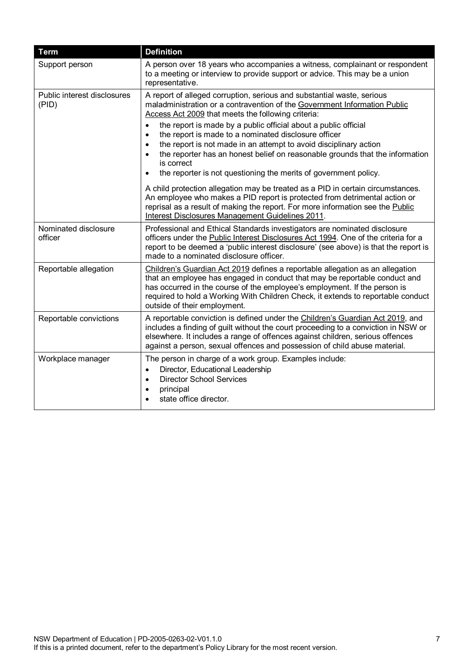| <b>Term</b>                          | <b>Definition</b>                                                                                                                                                                                                                                                                                                                                                                                                                                                                                                                                                                                                                                                                                                                                                                                                                                                                               |
|--------------------------------------|-------------------------------------------------------------------------------------------------------------------------------------------------------------------------------------------------------------------------------------------------------------------------------------------------------------------------------------------------------------------------------------------------------------------------------------------------------------------------------------------------------------------------------------------------------------------------------------------------------------------------------------------------------------------------------------------------------------------------------------------------------------------------------------------------------------------------------------------------------------------------------------------------|
| Support person                       | A person over 18 years who accompanies a witness, complainant or respondent<br>to a meeting or interview to provide support or advice. This may be a union<br>representative.                                                                                                                                                                                                                                                                                                                                                                                                                                                                                                                                                                                                                                                                                                                   |
| Public interest disclosures<br>(PID) | A report of alleged corruption, serious and substantial waste, serious<br>maladministration or a contravention of the Government Information Public<br>Access Act 2009 that meets the following criteria:<br>the report is made by a public official about a public official<br>$\bullet$<br>the report is made to a nominated disclosure officer<br>$\bullet$<br>the report is not made in an attempt to avoid disciplinary action<br>$\bullet$<br>the reporter has an honest belief on reasonable grounds that the information<br>$\bullet$<br>is correct<br>the reporter is not questioning the merits of government policy.<br>$\bullet$<br>A child protection allegation may be treated as a PID in certain circumstances.<br>An employee who makes a PID report is protected from detrimental action or<br>reprisal as a result of making the report. For more information see the Public |
|                                      | Interest Disclosures Management Guidelines 2011.                                                                                                                                                                                                                                                                                                                                                                                                                                                                                                                                                                                                                                                                                                                                                                                                                                                |
| Nominated disclosure<br>officer      | Professional and Ethical Standards investigators are nominated disclosure<br>officers under the Public Interest Disclosures Act 1994. One of the criteria for a<br>report to be deemed a 'public interest disclosure' (see above) is that the report is<br>made to a nominated disclosure officer.                                                                                                                                                                                                                                                                                                                                                                                                                                                                                                                                                                                              |
| Reportable allegation                | Children's Guardian Act 2019 defines a reportable allegation as an allegation<br>that an employee has engaged in conduct that may be reportable conduct and<br>has occurred in the course of the employee's employment. If the person is<br>required to hold a Working With Children Check, it extends to reportable conduct<br>outside of their employment.                                                                                                                                                                                                                                                                                                                                                                                                                                                                                                                                    |
| Reportable convictions               | A reportable conviction is defined under the Children's Guardian Act 2019, and<br>includes a finding of guilt without the court proceeding to a conviction in NSW or<br>elsewhere. It includes a range of offences against children, serious offences<br>against a person, sexual offences and possession of child abuse material.                                                                                                                                                                                                                                                                                                                                                                                                                                                                                                                                                              |
| Workplace manager                    | The person in charge of a work group. Examples include:<br>Director, Educational Leadership<br>$\bullet$<br><b>Director School Services</b><br>$\bullet$<br>principal<br>٠<br>state office director.                                                                                                                                                                                                                                                                                                                                                                                                                                                                                                                                                                                                                                                                                            |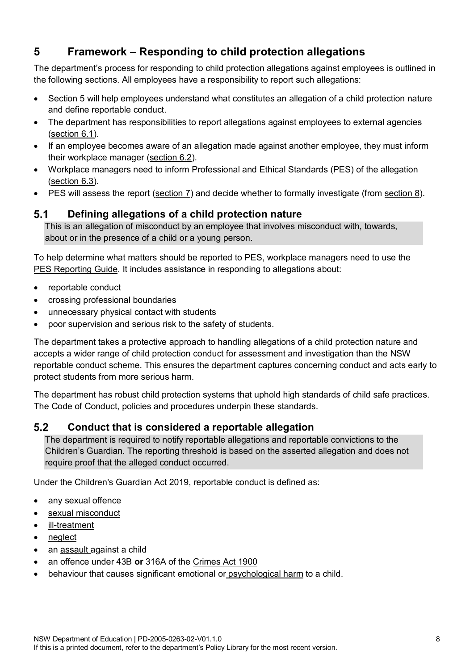# <span id="page-7-0"></span>**5 Framework – Responding to child protection allegations**

The department's process for responding to child protection allegations against employees is outlined in the following sections. All employees have a responsibility to report such allegations:

- Section 5 will help employees understand what constitutes an allegation of a child protection nature and define reportable conduct.
- The department has responsibilities to report allegations against employees to external agencies [\(section 6.1\)](#page-9-1).
- If an employee becomes aware of an allegation made against another employee, they must inform their workplace manager [\(section 6.2\)](#page-9-2).
- Workplace managers need to inform Professional and Ethical Standards (PES) of the allegation [\(section 6.3\)](#page-9-4).
- PES will assess the report [\(section 7\)](#page-11-0) and decide whether to formally investigate (from [section 8\)](#page-12-0).

#### <span id="page-7-1"></span> $5.1$ **Defining allegations of a child protection nature**

This is an allegation of misconduct by an employee that involves misconduct with, towards, about or in the presence of a child or a young person.

To help determine what matters should be reported to PES, workplace managers need to use the PES [Reporting Guide.](https://education.nsw.gov.au/epac/reporting-guide) It includes assistance in responding to allegations about:

- reportable conduct
- crossing professional boundaries
- unnecessary physical contact with students
- poor supervision and serious risk to the safety of students.

The department takes a protective approach to handling allegations of a child protection nature and accepts a wider range of child protection conduct for assessment and investigation than the NSW reportable conduct scheme. This ensures the department captures concerning conduct and acts early to protect students from more serious harm.

The department has robust child protection systems that uphold high standards of child safe practices. The Code of Conduct, policies and procedures underpin these standards.

#### <span id="page-7-2"></span> $5.2$ **Conduct that is considered a reportable allegation**

The department is required to notify reportable allegations and reportable convictions to the Children's Guardian. The reporting threshold is based on the asserted allegation and does not require proof that the alleged conduct occurred.

Under the [Children's Guardian Act 2019,](https://legislation.nsw.gov.au/view/html/inforce/current/act-2019-025) reportable conduct is defined as:

- any [sexual offence](https://legislation.nsw.gov.au/view/html/inforce/current/act-2019-025#sec.21)
- [sexual misconduct](https://legislation.nsw.gov.au/view/html/inforce/current/act-2019-025#sec.22)
- [ill-treatment](https://legislation.nsw.gov.au/view/html/inforce/current/act-2019-025#sec.23)
- [neglect](https://legislation.nsw.gov.au/view/html/inforce/current/act-2019-025#sec.24)
- an [assault](https://legislation.nsw.gov.au/view/html/inforce/current/act-2019-025#sec.25) against a child
- an offence under 43B **or** 316A of the [Crimes Act 1900](https://legislation.nsw.gov.au/view/html/inforce/current/act-1900-040)
- [behaviour that causes significant emotional or](https://legislation.nsw.gov.au/view/html/inforce/current/act-2019-025#sec.20) psychological harm to a child.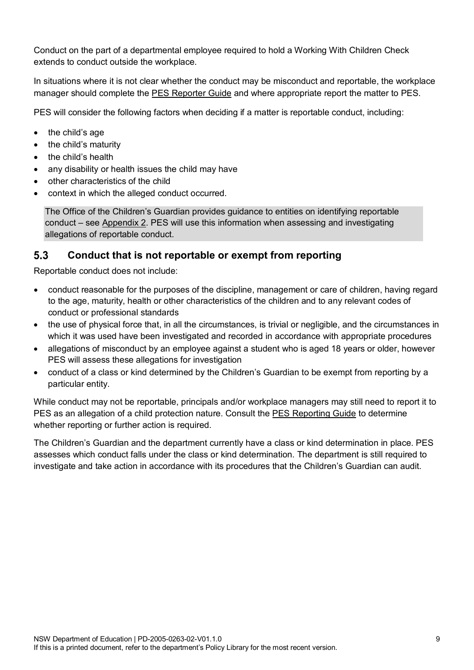Conduct on the part of a departmental employee required to hold a Working With Children Check extends to conduct outside the workplace.

In situations where it is not clear whether the conduct may be misconduct and reportable, the workplace manager should complete the PES [Reporter Guide](https://education.nsw.gov.au/epac/reporting-guide) and where appropriate report the matter to PES.

PES will consider the following factors when deciding if a matter is reportable conduct, including:

- the child's age
- the child's maturity
- the child's health
- any disability or health issues the child may have
- other characteristics of the child
- context in which the alleged conduct occurred.

The Office of the Children's Guardian provides guidance to entities on identifying reportable conduct – see [Appendix 2.](#page-22-0) PES will use this information when assessing and investigating allegations of reportable conduct.

#### <span id="page-8-0"></span> $5.3$ **Conduct that is not reportable or exempt from reporting**

Reportable conduct does not include:

- conduct reasonable for the purposes of the discipline, management or care of children, having regard to the age, maturity, health or other characteristics of the children and to any relevant codes of conduct or professional standards
- the use of physical force that, in all the circumstances, is trivial or negligible, and the circumstances in which it was used have been investigated and recorded in accordance with appropriate procedures
- allegations of misconduct by an employee against a student who is aged 18 years or older, however PES will assess these allegations for investigation
- conduct of a class or kind determined by the Children's Guardian to be exempt from reporting by a particular entity.

While conduct may not be reportable, principals and/or workplace managers may still need to report it to PES as an allegation of a child protection nature. Consult the [PES Reporting Guide](https://education.nsw.gov.au/epac/reporting-guide) to determine whether reporting or further action is required.

The Children's Guardian and the department currently have a class or kind determination in place. PES assesses which conduct falls under the class or kind determination. The department is still required to investigate and take action in accordance with its procedures that the Children's Guardian can audit.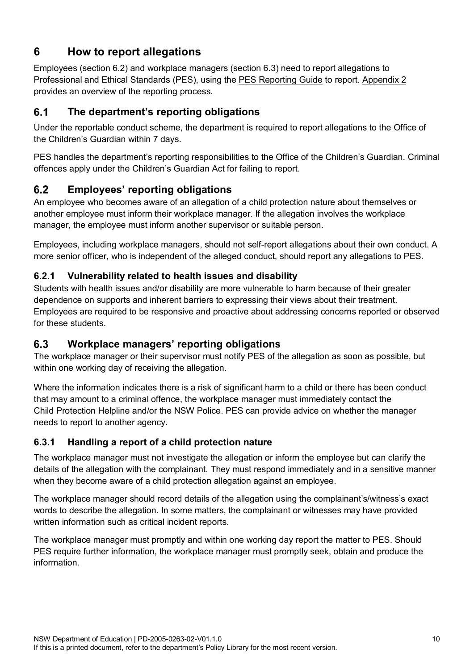# <span id="page-9-0"></span>**6 How to report allegations**

Employees (section 6.2) and workplace managers (section 6.3) need to report allegations to Professional and Ethical Standards (PES), using the [PES Reporting Guide](https://education.nsw.gov.au/epac/reporting-guide) to report. [Appendix 2](#page-22-0) provides an overview of the reporting process.

#### <span id="page-9-1"></span> $6.1$ **The department's reporting obligations**

Under the reportable conduct scheme, the department is required to report allegations to the Office of the Children's Guardian within 7 days.

PES handles the department's reporting responsibilities to the Office of the Children's Guardian. Criminal offences apply under the Children's Guardian Act for failing to report.

#### <span id="page-9-2"></span> $6.2$ **Employees' reporting obligations**

An employee who becomes aware of an allegation of a child protection nature about themselves or another employee must inform their workplace manager. If the allegation involves the workplace manager, the employee must inform another supervisor or suitable person.

Employees, including workplace managers, should not self-report allegations about their own conduct. A more senior officer, who is independent of the alleged conduct, should report any allegations to PES.

### <span id="page-9-3"></span>**6.2.1 Vulnerability related to health issues and disability**

Students with health issues and/or disability are more vulnerable to harm because of their greater dependence on supports and inherent barriers to expressing their views about their treatment. Employees are required to be responsive and proactive about addressing concerns reported or observed for these students.

#### <span id="page-9-4"></span> $6.3$ **Workplace managers' reporting obligations**

The workplace manager or their supervisor must notify PES of the allegation as soon as possible, but within one working day of receiving the allegation.

Where the information indicates there is a risk of significant harm to a child or there has been conduct that may amount to a criminal offence, the workplace manager must immediately contact the Child [Protection Helpline](https://www.facs.nsw.gov.au/families/Protecting-kids/mandatory-reporters/how-to) and/or the [NSW Police.](https://www.police.nsw.gov.au/about_us/regions_commands_districts/police_station_search) PES can provide advice on whether the manager needs to report to another agency.

# <span id="page-9-5"></span>**6.3.1 Handling a report of a child protection nature**

The workplace manager must not investigate the allegation or inform the employee but can clarify the details of the allegation with the complainant. They must respond immediately and in a sensitive manner when they become aware of a child protection allegation against an employee.

The workplace manager should record details of the allegation using the complainant's/witness's exact words to describe the allegation. In some matters, the complainant or witnesses may have provided written information such as critical incident reports.

The workplace manager must promptly and within one working day report the matter to PES. Should PES require further information, the workplace manager must promptly seek, obtain and produce the information.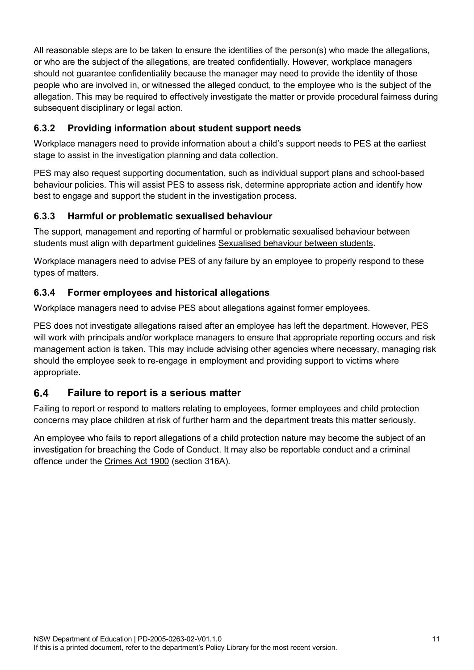All reasonable steps are to be taken to ensure the identities of the person(s) who made the allegations, or who are the subject of the allegations, are treated confidentially. However, workplace managers should not guarantee confidentiality because the manager may need to provide the identity of those people who are involved in, or witnessed the alleged conduct, to the employee who is the subject of the allegation. This may be required to effectively investigate the matter or provide procedural fairness during subsequent disciplinary or legal action.

# <span id="page-10-0"></span>**6.3.2 Providing information about student support needs**

Workplace managers need to provide information about a child's support needs to PES at the earliest stage to assist in the investigation planning and data collection.

PES may also request supporting documentation, such as individual support plans and school-based behaviour policies. This will assist PES to assess risk, determine appropriate action and identify how best to engage and support the student in the investigation process.

# <span id="page-10-1"></span>**6.3.3 Harmful or problematic sexualised behaviour**

The support, management and reporting of harmful or problematic sexualised behaviour between students must align with department guidelines [Sexualised behaviour between students.](https://education.nsw.gov.au/inside-the-department/legal-services/legal-topics/students/sexualised-behaviour-between-students)

Workplace managers need to advise PES of any failure by an employee to properly respond to these types of matters.

# <span id="page-10-2"></span>**6.3.4 Former employees and historical allegations**

Workplace managers need to advise PES about allegations against former employees.

PES does not investigate allegations raised after an employee has left the department. However, PES will work with principals and/or workplace managers to ensure that appropriate reporting occurs and risk management action is taken. This may include advising other agencies where necessary, managing risk should the employee seek to re-engage in employment and providing support to victims where appropriate.

#### <span id="page-10-3"></span> $6.4$ **Failure to report is a serious matter**

Failing to report or respond to matters relating to employees, former employees and child protection concerns may place children at risk of further harm and the department treats this matter seriously.

An employee who fails to report allegations of a child protection nature may become the subject of an investigation for breaching the [Code of Conduct.](https://education.nsw.gov.au/policy-library/policies/pd-2004-0020) It may also be reportable conduct and a criminal offence under the [Crimes Act 1900](https://legislation.nsw.gov.au/view/html/inforce/current/act-1900-040) (section 316A).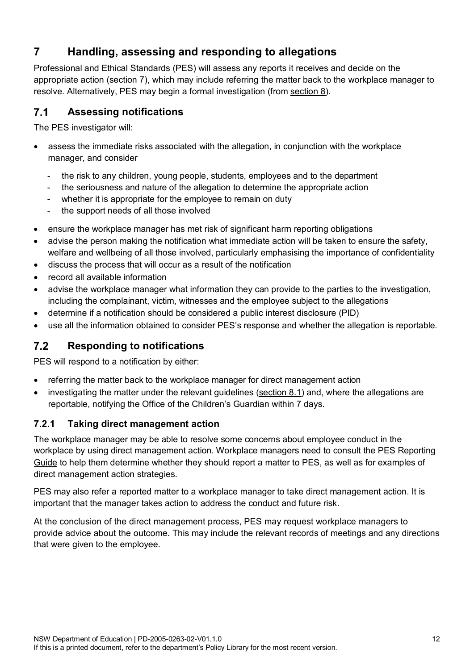# <span id="page-11-0"></span>**7 Handling, assessing and responding to allegations**

Professional and Ethical Standards (PES) will assess any reports it receives and decide on the appropriate action (section 7), which may include referring the matter back to the workplace manager to resolve. Alternatively, PES may begin a formal investigation (fro[m section 8\)](#page-12-0).

#### <span id="page-11-1"></span> $7.1$ **Assessing notifications**

The PES investigator will:

- assess the immediate risks associated with the allegation, in conjunction with the workplace manager, and consider
	- the risk to any children, young people, students, employees and to the department
	- the seriousness and nature of the allegation to determine the appropriate action
	- whether it is appropriate for the employee to remain on duty
	- the support needs of all those involved
- ensure the workplace manager has met risk of significant harm reporting obligations
- advise the person making the notification what immediate action will be taken to ensure the safety,
- welfare and wellbeing of all those involved, particularly emphasising the importance of confidentiality
- discuss the process that will occur as a result of the notification
- record all available information
- advise the workplace manager what information they can provide to the parties to the investigation, including the complainant, victim, witnesses and the employee subject to the allegations
- determine if a notification should be considered a public interest disclosure (PID)
- use all the information obtained to consider PES's response and whether the allegation is reportable.

#### <span id="page-11-2"></span> $7.2$ **Responding to notifications**

PES will respond to a notification by either:

- referring the matter back to the workplace manager for direct management action
- investigating the matter under the relevant guidelines [\(section 8.1\)](#page-12-1) and, where the allegations are reportable, notifying the Office of the Children's Guardian within 7 days.

### <span id="page-11-3"></span>**7.2.1 Taking direct management action**

The workplace manager may be able to resolve some concerns about employee conduct in the workplace by using direct management action. Workplace managers need to consult the [PES Reporting](https://education.nsw.gov.au/epac/reporting-guide)  [Guide](https://education.nsw.gov.au/epac/reporting-guide) to help them determine whether they should report a matter to PES, as well as for examples of direct management action strategies.

PES may also refer a reported matter to a workplace manager to take direct management action. It is important that the manager takes action to address the conduct and future risk.

At the conclusion of the direct management process, PES may request workplace managers to provide advice about the outcome. This may include the relevant records of meetings and any directions that were given to the employee.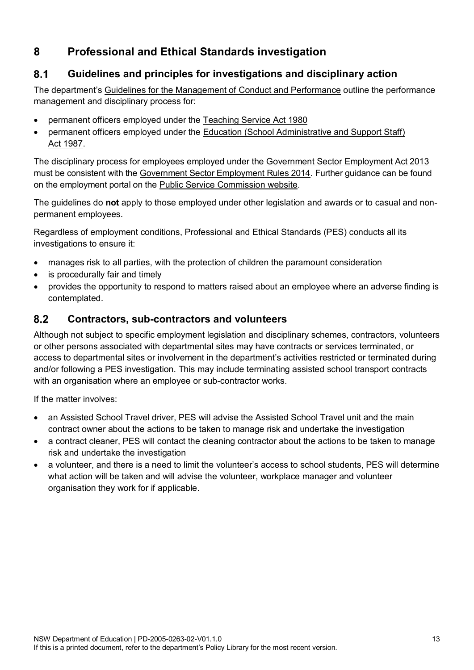# <span id="page-12-0"></span>**8 Professional and Ethical Standards investigation**

#### <span id="page-12-1"></span> $8.1$ **Guidelines and principles for investigations and disciplinary action**

The department's [Guidelines for the Management of Conduct and Performance](https://education.nsw.gov.au/content/dam/main-education/policy-library/associated-documents/pd20060335.pdf) outline the performance management and disciplinary process for:

- permanent officers employed under the [Teaching Service Act 1980](https://legislation.nsw.gov.au/view/html/inforce/current/act-1980-023)
- permanent officers employed under the Education (School Administrative and Support Staff) Act [1987.](https://legislation.nsw.gov.au/view/html/inforce/current/act-1987-240)

The disciplinary process for employees employed under the [Government Sector Employment](http://www.legislation.nsw.gov.au/#/view/act/2013/40) Act 2013 must be consistent with the [Government Sector Employment Rules 2014.](http://www.legislation.nsw.gov.au/#/view/regulation/2014/65) Further guidance can be found on the employment portal on the [Public Service Commission website.](https://www.psc.nsw.gov.au/)

The guidelines do **not** apply to those employed under other legislation and awards or to casual and nonpermanent employees.

Regardless of employment conditions, Professional and Ethical Standards (PES) conducts all its investigations to ensure it:

- manages risk to all parties, with the protection of children the paramount consideration
- is procedurally fair and timely
- provides the opportunity to respond to matters raised about an employee where an adverse finding is contemplated.

#### <span id="page-12-2"></span> $8.2$ **Contractors, sub-contractors and volunteers**

Although not subject to specific employment legislation and disciplinary schemes, contractors, volunteers or other persons associated with departmental sites may have contracts or services terminated, or access to departmental sites or involvement in the department's activities restricted or terminated during and/or following a PES investigation. This may include terminating assisted school transport contracts with an organisation where an employee or sub-contractor works.

If the matter involves:

- an Assisted School Travel driver, PES will advise the Assisted School Travel unit and the main contract owner about the actions to be taken to manage risk and undertake the investigation
- a contract cleaner, PES will contact the cleaning contractor about the actions to be taken to manage risk and undertake the investigation
- a volunteer, and there is a need to limit the volunteer's access to school students, PES will determine what action will be taken and will advise the volunteer, workplace manager and volunteer organisation they work for if applicable.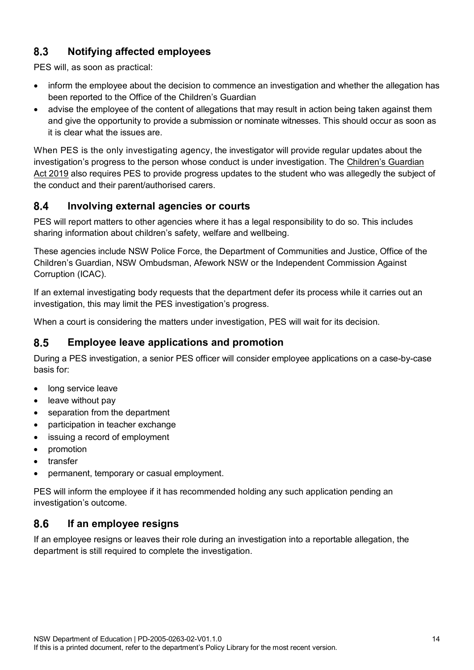#### <span id="page-13-0"></span>8.3 **Notifying affected employees**

PES will, as soon as practical:

- inform the employee about the decision to commence an investigation and whether the allegation has been reported to the Office of the Children's Guardian
- advise the employee of the content of allegations that may result in action being taken against them and give the opportunity to provide a submission or nominate witnesses. This should occur as soon as it is clear what the issues are.

When PES is the only investigating agency, the investigator will provide regular updates about the investigation's progress to the person whose conduct is under investigation. The [Children's Guardian](https://legislation.nsw.gov.au/view/whole/html/inforce/current/act-2019-025)  Act [2019](https://legislation.nsw.gov.au/view/whole/html/inforce/current/act-2019-025) also requires PES to provide progress updates to the student who was allegedly the subject of the conduct and their parent/authorised carers.

#### <span id="page-13-1"></span> $8.4$ **Involving external agencies or courts**

PES will report matters to other agencies where it has a legal responsibility to do so. This includes sharing information about children's safety, welfare and wellbeing.

These agencies include NSW Police Force, the Department of Communities and Justice, Office of the Children's Guardian, NSW Ombudsman, Afework NSW or the Independent Commission Against Corruption (ICAC).

If an external investigating body requests that the department defer its process while it carries out an investigation, this may limit the PES investigation's progress.

When a court is considering the matters under investigation, PES will wait for its decision.

#### <span id="page-13-2"></span>8.5 **Employee leave applications and promotion**

During a PES investigation, a senior PES officer will consider employee applications on a case-by-case basis for:

- long service leave
- leave without pay
- separation from the department
- participation in teacher exchange
- issuing a record of employment
- promotion
- transfer
- permanent, temporary or casual employment.

PES will inform the employee if it has recommended holding any such application pending an investigation's outcome.

#### <span id="page-13-3"></span>8.6 **If an employee resigns**

If an employee resigns or leaves their role during an investigation into a reportable allegation, the department is still required to complete the investigation.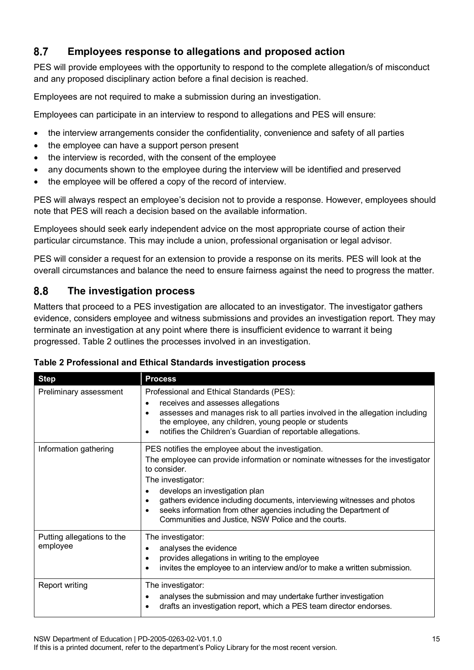#### <span id="page-14-0"></span>8.7 **Employees response to allegations and proposed action**

PES will provide employees with the opportunity to respond to the complete allegation/s of misconduct and any proposed disciplinary action before a final decision is reached.

Employees are not required to make a submission during an investigation.

Employees can participate in an interview to respond to allegations and PES will ensure:

- the interview arrangements consider the confidentiality, convenience and safety of all parties
- the employee can have a support person present
- the interview is recorded, with the consent of the employee
- any documents shown to the employee during the interview will be identified and preserved
- the employee will be offered a copy of the record of interview.

PES will always respect an employee's decision not to provide a response. However, employees should note that PES will reach a decision based on the available information.

Employees should seek early independent advice on the most appropriate course of action their particular circumstance. This may include a union, professional organisation or legal advisor.

PES will consider a request for an extension to provide a response on its merits. PES will look at the overall circumstances and balance the need to ensure fairness against the need to progress the matter.

#### <span id="page-14-1"></span>8.8 **The investigation process**

Matters that proceed to a PES investigation are allocated to an investigator. The investigator gathers evidence, considers employee and witness submissions and provides an investigation report. They may terminate an investigation at any point where there is insufficient evidence to warrant it being progressed. Table 2 outlines the processes involved in an investigation.

| <b>Step</b>                            | <b>Process</b>                                                                                                                                                                                                                                                                                                                                                                                                           |
|----------------------------------------|--------------------------------------------------------------------------------------------------------------------------------------------------------------------------------------------------------------------------------------------------------------------------------------------------------------------------------------------------------------------------------------------------------------------------|
| Preliminary assessment                 | Professional and Ethical Standards (PES):<br>receives and assesses allegations<br>$\bullet$<br>assesses and manages risk to all parties involved in the allegation including<br>٠<br>the employee, any children, young people or students<br>notifies the Children's Guardian of reportable allegations.<br>٠                                                                                                            |
| Information gathering                  | PES notifies the employee about the investigation.<br>The employee can provide information or nominate witnesses for the investigator<br>to consider.<br>The investigator:<br>develops an investigation plan<br>٠<br>gathers evidence including documents, interviewing witnesses and photos<br>seeks information from other agencies including the Department of<br>Communities and Justice, NSW Police and the courts. |
| Putting allegations to the<br>employee | The investigator:<br>analyses the evidence<br>٠<br>provides allegations in writing to the employee<br>invites the employee to an interview and/or to make a written submission.                                                                                                                                                                                                                                          |
| <b>Report writing</b>                  | The investigator:<br>analyses the submission and may undertake further investigation<br>drafts an investigation report, which a PES team director endorses.<br>$\bullet$                                                                                                                                                                                                                                                 |

**Table 2 Professional and Ethical Standards investigation process**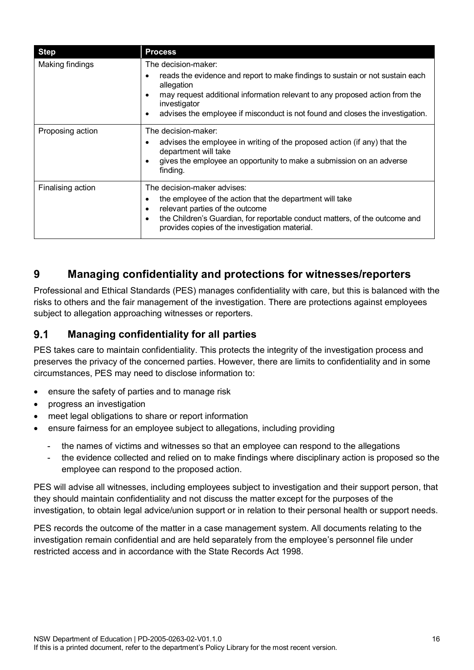| <b>Step</b>       | <b>Process</b>                                                                                                                                                                                                                                                                                                  |
|-------------------|-----------------------------------------------------------------------------------------------------------------------------------------------------------------------------------------------------------------------------------------------------------------------------------------------------------------|
| Making findings   | The decision-maker:<br>reads the evidence and report to make findings to sustain or not sustain each<br>allegation<br>may request additional information relevant to any proposed action from the<br>investigator<br>advises the employee if misconduct is not found and closes the investigation.<br>$\bullet$ |
| Proposing action  | The decision-maker:<br>advises the employee in writing of the proposed action (if any) that the<br>department will take<br>gives the employee an opportunity to make a submission on an adverse<br>finding.                                                                                                     |
| Finalising action | The decision-maker advises:<br>the employee of the action that the department will take<br>٠<br>relevant parties of the outcome<br>٠<br>the Children's Guardian, for reportable conduct matters, of the outcome and<br>$\bullet$<br>provides copies of the investigation material.                              |

# <span id="page-15-0"></span>**9 Managing confidentiality and protections for witnesses/reporters**

Professional and Ethical Standards (PES) manages confidentiality with care, but this is balanced with the risks to others and the fair management of the investigation. There are protections against employees subject to allegation approaching witnesses or reporters.

#### <span id="page-15-1"></span> $9.1$ **Managing confidentiality for all parties**

PES takes care to maintain confidentiality. This protects the integrity of the investigation process and preserves the privacy of the concerned parties. However, there are limits to confidentiality and in some circumstances, PES may need to disclose information to:

- ensure the safety of parties and to manage risk
- progress an investigation
- meet legal obligations to share or report information
- ensure fairness for an employee subject to allegations, including providing
	- the names of victims and witnesses so that an employee can respond to the allegations
	- the evidence collected and relied on to make findings where disciplinary action is proposed so the employee can respond to the proposed action.

PES will advise all witnesses, including employees subject to investigation and their support person, that they should maintain confidentiality and not discuss the matter except for the purposes of the investigation, to obtain legal advice/union support or in relation to their personal health or support needs.

PES records the outcome of the matter in a case management system. All documents relating to the investigation remain confidential and are held separately from the employee's personnel file under restricted access and in accordance with the [State Records Act 1998.](http://www.legislation.nsw.gov.au/#/view/act/1998/17)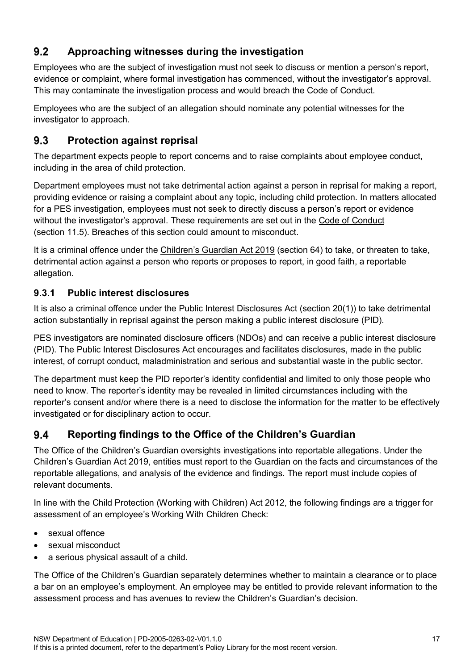#### <span id="page-16-0"></span> $9.2$ **Approaching witnesses during the investigation**

Employees who are the subject of investigation must not seek to discuss or mention a person's report, evidence or complaint, where formal investigation has commenced, without the investigator's approval. This may contaminate the investigation process and would breach the Code of Conduct.

Employees who are the subject of an allegation should nominate any potential witnesses for the investigator to approach.

#### <span id="page-16-1"></span> $9.3$ **Protection against reprisal**

The department expects people to report concerns and to raise complaints about employee conduct, including in the area of child protection.

Department employees must not take detrimental action against a person in reprisal for making a report, providing evidence or raising a complaint about any topic, including child protection. In matters allocated for a PES investigation, employees must not seek to directly discuss a person's report or evidence without the investigator's approval. These requirements are set out in the [Code of Conduct](https://education.nsw.gov.au/policy-library/policies/pd-2004-0020/01--code-of-conduct-procedures--pdf-431-75-kb-) (section 11.5). Breaches of this section could amount to misconduct.

It is a criminal offence under the [Children's Guardian Act 2019](https://legislation.nsw.gov.au/#/view/act/2019/25/part4/div13/sec64) (section 64) to take, or threaten to take, detrimental action against a person who reports or proposes to report, in good faith, a reportable allegation.

# <span id="page-16-2"></span>**9.3.1 Public interest disclosures**

It is also a criminal offence under the [Public Interest Disclosures Act](https://legislation.nsw.gov.au/#/view/act/1994/92) (section 20(1)) to take detrimental action substantially in reprisal against the person making a public interest disclosure (PID).

PES investigators are nominated disclosure officers (NDOs) and can receive a public interest disclosure (PID). The [Public Interest Disclosures Act e](https://legislation.nsw.gov.au/#/view/act/1994/92)ncourages and facilitates disclosures, made in the public interest, of corrupt conduct, maladministration and serious and substantial waste in the public sector.

The department must keep the PID reporter's identity confidential and limited to only those people who need to know. The reporter's identity may be revealed in limited circumstances including with the reporter's consent and/or where there is a need to disclose the information for the matter to be effectively investigated or for disciplinary action to occur.

#### <span id="page-16-3"></span>9.4 **Reporting findings to the Office of the Children's Guardian**

The Office of the Children's Guardian oversights investigations into reportable allegations. Under the Children's Guardian Act 2019, entities must report to the Guardian on the facts and circumstances of the reportable allegations, and analysis of the evidence and findings. The report must include copies of relevant documents.

In line with the [Child Protection \(Working with Children\) Act 2012,](https://legislation.nsw.gov.au/view/html/inforce/current/act-2012-051) the following findings are a trigger for assessment of an employee's Working With Children Check:

- sexual offence
- sexual misconduct
- a serious physical assault of a child.

The Office of the Children's Guardian separately determines whether to maintain a clearance or to place a bar on an employee's employment. An employee may be entitled to provide relevant information to the assessment process and has avenues to review the Children's Guardian's decision.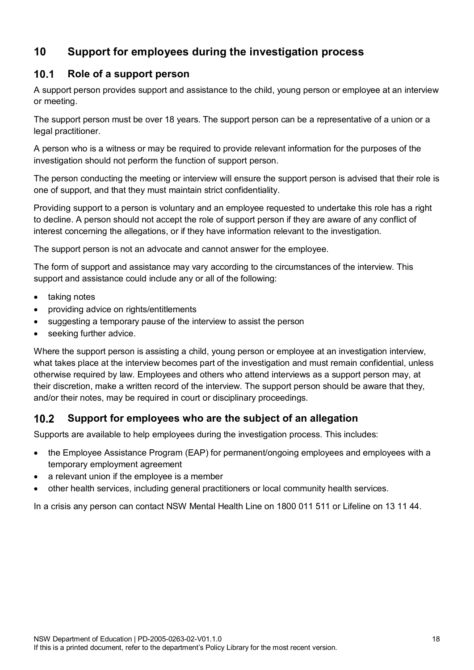# <span id="page-17-0"></span>**10 Support for employees during the investigation process**

#### <span id="page-17-1"></span> $10.1$ **Role of a support person**

A support person provides support and assistance to the child, young person or employee at an interview or meeting.

The support person must be over 18 years. The support person can be a representative of a union or a legal practitioner.

A person who is a witness or may be required to provide relevant information for the purposes of the investigation should not perform the function of support person.

The person conducting the meeting or interview will ensure the support person is advised that their role is one of support, and that they must maintain strict confidentiality.

Providing support to a person is voluntary and an employee requested to undertake this role has a right to decline. A person should not accept the role of support person if they are aware of any conflict of interest concerning the allegations, or if they have information relevant to the investigation.

The support person is not an advocate and cannot answer for the employee.

The form of support and assistance may vary according to the circumstances of the interview. This support and assistance could include any or all of the following:

- taking notes
- providing advice on rights/entitlements
- suggesting a temporary pause of the interview to assist the person
- seeking further advice.

Where the support person is assisting a child, young person or employee at an investigation interview, what takes place at the interview becomes part of the investigation and must remain confidential, unless otherwise required by law. Employees and others who attend interviews as a support person may, at their discretion, make a written record of the interview. The support person should be aware that they, and/or their notes, may be required in court or disciplinary proceedings.

#### <span id="page-17-2"></span> $10.2$ **Support for employees who are the subject of an allegation**

Supports are available to help employees during the investigation process. This includes:

- the Employee Assistance Program (EAP) for permanent/ongoing employees and employees with a temporary employment agreement
- a relevant union if the employee is a member
- other health services, including general practitioners or local community health services.

In a crisis any person can contact NSW Mental Health Line on 1800 011 511 or Lifeline on 13 11 44.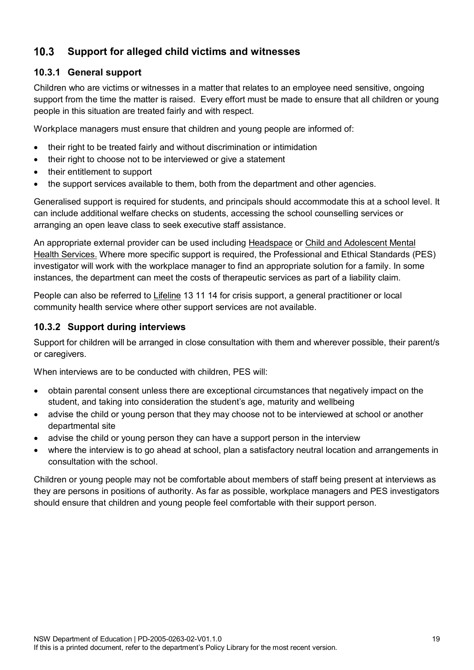#### <span id="page-18-0"></span>**Support for alleged child victims and witnesses**  $10.3$

### <span id="page-18-1"></span>**10.3.1 General support**

Children who are victims or witnesses in a matter that relates to an employee need sensitive, ongoing support from the time the matter is raised. Every effort must be made to ensure that all children or young people in this situation are treated fairly and with respect.

Workplace managers must ensure that children and young people are informed of:

- their right to be treated fairly and without discrimination or intimidation
- their right to choose not to be interviewed or give a statement
- their entitlement to support
- the support services available to them, both from the department and other agencies.

Generalised support is required for students, and principals should accommodate this at a school level. It can include additional welfare checks on students, accessing the school counselling services or arranging an open leave class to seek executive staff assistance.

An appropriate external provider can be used including [Headspace](https://headspace.org.au/) or [Child and Adolescent Mental](https://www.seslhd.health.nsw.gov.au/child-and-adolescent-mental-health-service-camhs-0)  [Health Services.](https://www.seslhd.health.nsw.gov.au/child-and-adolescent-mental-health-service-camhs-0) Where more specific support is required, the Professional and Ethical Standards (PES) investigator will work with the workplace manager to find an appropriate solution for a family. In some instances, the department can meet the costs of therapeutic services as part of a liability claim.

People can also be referred to [Lifeline](tel:131114) 13 11 14 for crisis support, a general practitioner or local community health service where other support services are not available.

### <span id="page-18-2"></span>**10.3.2 Support during interviews**

Support for children will be arranged in close consultation with them and wherever possible, their parent/s or caregivers.

When interviews are to be conducted with children, PES will:

- obtain parental consent unless there are exceptional circumstances that negatively impact on the student, and taking into consideration the student's age, maturity and wellbeing
- advise the child or young person that they may choose not to be interviewed at school or another departmental site
- advise the child or young person they can have a support person in the interview
- where the interview is to go ahead at school, plan a satisfactory neutral location and arrangements in consultation with the school.

Children or young people may not be comfortable about members of staff being present at interviews as they are persons in positions of authority. As far as possible, workplace managers and PES investigators should ensure that children and young people feel comfortable with their support person.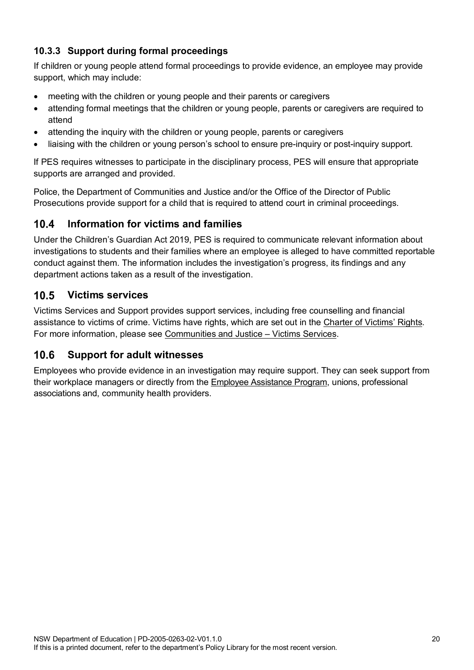# <span id="page-19-0"></span>**10.3.3 Support during formal proceedings**

If children or young people attend formal proceedings to provide evidence, an employee may provide support, which may include:

- meeting with the children or young people and their parents or caregivers
- attending formal meetings that the children or young people, parents or caregivers are required to attend
- attending the inquiry with the children or young people, parents or caregivers
- liaising with the children or young person's school to ensure pre-inquiry or post-inquiry support.

If PES requires witnesses to participate in the disciplinary process, PES will ensure that appropriate supports are arranged and provided.

Police, the Department of Communities and Justice and/or the Office of the Director of Public Prosecutions provide support for a child that is required to attend court in criminal proceedings.

#### <span id="page-19-1"></span>**Information for victims and families**  $10.4$

Under the Children's Guardian Act 2019, PES is required to communicate relevant information about investigations to students and their families where an employee is alleged to have committed reportable conduct against them. The information includes the investigation's progress, its findings and any department actions taken as a result of the investigation.

#### <span id="page-19-2"></span> $10.5$ **Victims services**

Victims Services and Support provides support services, including free counselling and financial assistance to victims of crime. Victims have rights, which are set out in the [Charter of Victims' Rights.](https://www.victimsservices.justice.nsw.gov.au/Pages/vss/vs_victims/VS_victimsrightscharter2.aspx) For more information, please see [Communities and Justice –](https://www.victimsservices.justice.nsw.gov.au/) Victims Services.

#### <span id="page-19-3"></span> $10.6$ **Support for adult witnesses**

Employees who provide evidence in an investigation may require support. They can seek support from their workplace managers or directly from the [Employee Assistance Program,](https://education.nsw.gov.au/inside-the-department/health-and-safety/staff-wellbeing) unions, professional associations and, community health providers.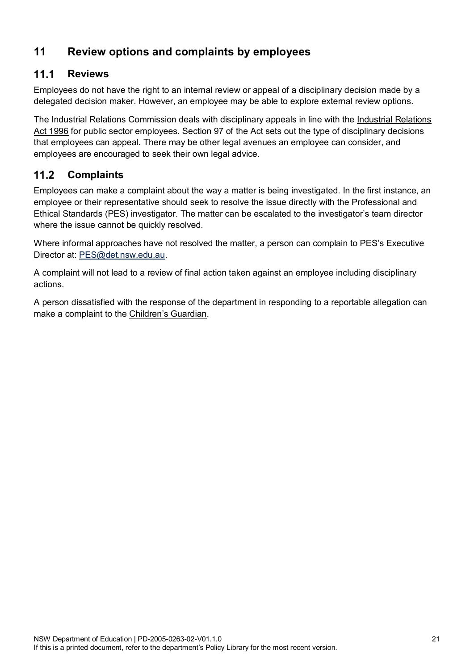# <span id="page-20-0"></span>**11 Review options and complaints by employees**

#### <span id="page-20-1"></span> $11.1$ **Reviews**

Employees do not have the right to an internal review or appeal of a disciplinary decision made by a delegated decision maker. However, an employee may be able to explore external review options.

The Industrial Relations Commission deals with disciplinary appeals in line with the [Industrial Relations](https://legislation.nsw.gov.au/view/html/inforce/current/act-1996-017)  [Act 1996](https://legislation.nsw.gov.au/view/html/inforce/current/act-1996-017) for public sector employees. Section 97 of the Act sets out the type of disciplinary decisions that employees can appeal. There may be other legal avenues an employee can consider, and employees are encouraged to seek their own legal advice.

#### <span id="page-20-2"></span> $11.2$ **Complaints**

Employees can make a complaint about the way a matter is being investigated. In the first instance, an employee or their representative should seek to resolve the issue directly with the Professional and Ethical Standards (PES) investigator. The matter can be escalated to the investigator's team director where the issue cannot be quickly resolved.

Where informal approaches have not resolved the matter, a person can complain to PES's Executive Director at: [PES@det.nsw.edu.au.](mailto:EPAC@det.nsw.edu.au)

A complaint will not lead to a review of final action taken against an employee including disciplinary actions.

A person dissatisfied with the response of the department in responding to a reportable allegation can make a complaint to the [Children's Guardian.](https://www.ocg.nsw.gov.au/child-safe-organisations/reportable-conduct-scheme/making-a-complaint)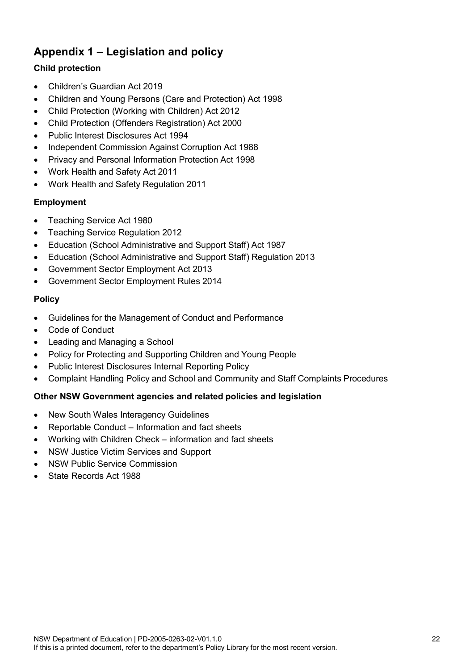# <span id="page-21-0"></span>**Appendix 1 – Legislation and policy**

### **Child protection**

- Children's Guardian Act 2019
- Children and Young [Persons \(Care](http://www.legislation.nsw.gov.au/maintop/view/inforce/act+157+1998+cd+0+N) and Protection) Act 1998
- Child Protection [\(Working with Children\)](http://www.legislation.nsw.gov.au/maintop/view/inforce/act+51+2012+cd+0+N) Act 2012
- Child Protection [\(Offenders Registration\)](http://www.legislation.nsw.gov.au/maintop/view/inforce/act+42+2000+cd+0+N) Act 2000
- [Public Interest Disclosures Act](http://www.legislation.nsw.gov.au/maintop/view/inforce/act+92+1994+cd+0+N) 1994
- [Independent Commission](http://www.legislation.nsw.gov.au/maintop/view/inforce/act+35+1988+cd+0+N) Against Corruption Act 1988
- Privacy and [Personal Information](http://www.legislation.nsw.gov.au/maintop/view/inforce/act+133+1998+cd+0+N) Protection Act 1998
- [Work Health and](http://www.legislation.nsw.gov.au/maintop/view/inforce/act+10+2011+cd+0+N) Safety Act 2011
- [Work Health](http://www.legislation.nsw.gov.au/maintop/view/inforce/subordleg+674+2011+cd+0+N) and Safety Regulation 2011

### **Employment**

- [Teaching](http://www.legislation.nsw.gov.au/maintop/view/inforce/act+23+1980+cd+0+N) Service Act 1980
- [Teaching Service](http://www.legislation.nsw.gov.au/maintop/view/inforce/subordleg+444+2012+cd+0+N) Regulation 2012
- Education [\(School Administrative and](http://www.legislation.nsw.gov.au/maintop/view/inforce/act+240+1987+cd+0+N) Support Staff) Act 1987
- Education [\(School Administrative and](http://www.legislation.nsw.gov.au/maintop/view/inforce/subordleg+448+2013+cd+0+N) Support Staff) Regulation 2013
- [Government Sector Employment Act 2013](http://www.legislation.nsw.gov.au/maintop/view/inforce/act+40+2013+cd+0+N)
- [Government Sector Employment Rules 2014](http://www.legislation.nsw.gov.au/maintop/view/inforce/subordleg+65+2014+cd+0+N)

### **Policy**

- Guidelines for the [Management of Conduct](https://education.nsw.gov.au/policy-library/policies/management-of-conduct-and-performance?refid=285776) and Performance
- [Code of Conduct](https://education.nsw.gov.au/policy-library/policies/code-of-conduct-policy?refid=285776)
- Leading and [Managing](https://education.nsw.gov.au/policy-library/policies/leading-and-managing-the-school) a School
- Policy for Protecting and [Supporting](https://education.nsw.gov.au/policy-library/policies/protecting-and-supporting-children-and-young-people-policy?refid=285776) Children and Young People
- [Public Interest Disclosures Internal Reporting Policy](https://education.nsw.gov.au/policy-library/policies/public-interest-disclosures-internal-reporting-policy?refid=285776)
- [Complaint Handling Policy and School and Community and Staff Complaints Procedures](https://education.nsw.gov.au/policy-library/policies/complaints-handling-policy?refid=285776)

### **Other NSW Government agencies and related policies and legislation**

- New South Wales [Interagency](http://www.community.nsw.gov.au/kts) Guidelines
- Reportable Conduct Information and fact sheets
- [Working with Children Check –](http://www.kidsguardian.nsw.gov.au/working-with-children/working-with-children-check) information and fact sheets
- NSW [Justice Victim Services and Support](http://www.victimsservices.justice.nsw.gov.au/)
- [NSW Public Service Commission](http://www.psc.nsw.gov.au/)
- [State Records Act 1988](http://www.legislation.nsw.gov.au/maintop/view/inforce/act+17+1998+cd+0+N)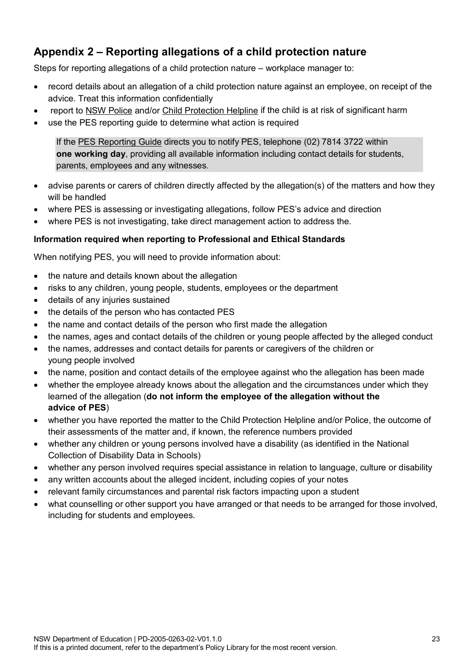# <span id="page-22-0"></span>**Appendix 2 – Reporting allegations of a child protection nature**

Steps for reporting allegations of a child protection nature – workplace manager to:

- record details about an allegation of a child protection nature against an employee, on receipt of the advice. Treat this information confidentially
- report to [NSW Police](https://www.police.nsw.gov.au/about_us/regions_commands_districts/police_station_search) and/or Child [Protection Helpline](https://www.facs.nsw.gov.au/families/Protecting-kids/mandatory-reporters/how-to) if the child is at risk of significant harm
- use the PES reporting guide to determine what action is required

If the [PES Reporting Guide](https://education.nsw.gov.au/epac/reporting-guide) directs you to notify PES, telephone (02) 7814 3722 within **one working day**, providing all available information including contact details for students, parents, employees and any witnesses.

- advise parents or carers of children directly affected by the allegation(s) of the matters and how they will be handled
- where PES is assessing or investigating allegations, follow PES's advice and direction
- where PES is not investigating, take direct management action to address the.

### **Information required when reporting to Professional and Ethical Standards**

When notifying PES, you will need to provide information about:

- the nature and details known about the allegation
- risks to any children, young people, students, employees or the department
- details of any injuries sustained
- the details of the person who has contacted PES
- the name and contact details of the person who first made the allegation
- the names, ages and contact details of the children or young people affected by the alleged conduct
- the names, addresses and contact details for parents or caregivers of the children or young people involved
- the name, position and contact details of the employee against who the allegation has been made
- whether the employee already knows about the allegation and the circumstances under which they learned of the allegation (**do not inform the employee of the allegation without the advice of PES**)
- whether you have reported the matter to the Child Protection Helpline and/or Police, the outcome of their assessments of the matter and, if known, the reference numbers provided
- whether any children or young persons involved have a disability (as identified in the National Collection of Disability Data in Schools)
- whether any person involved requires special assistance in relation to language, culture or disability
- any written accounts about the alleged incident, including copies of your notes
- relevant family circumstances and parental risk factors impacting upon a student
- what counselling or other support you have arranged or that needs to be arranged for those involved, including for students and employees.